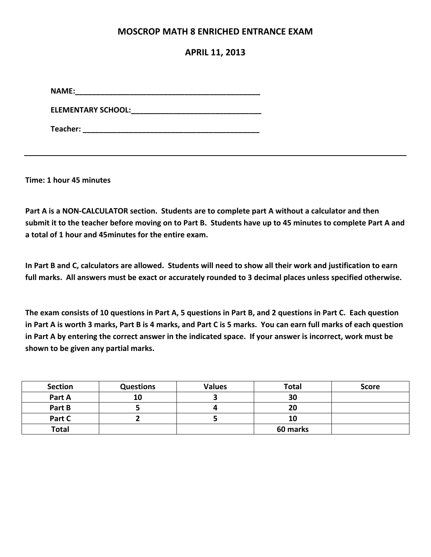### **MOSCROP MATH 8 ENRICHED ENTRANCE EXAM**

### **APRIL 11, 2013**

**NAME:\_\_\_\_\_\_\_\_\_\_\_\_\_\_\_\_\_\_\_\_\_\_\_\_\_\_\_\_\_\_\_\_\_\_\_\_\_\_\_\_\_\_\_\_**

**ELEMENTARY SCHOOL:\_\_\_\_\_\_\_\_\_\_\_\_\_\_\_\_\_\_\_\_\_\_\_\_\_\_\_\_\_\_\_**

**Teacher: \_\_\_\_\_\_\_\_\_\_\_\_\_\_\_\_\_\_\_\_\_\_\_\_\_\_\_\_\_\_\_\_\_\_\_\_\_\_\_\_\_\_**

**Time: 1 hour 45 minutes**

**Part A is a NON-CALCULATOR section. Students are to complete part A without a calculator and then submit it to the teacher before moving on to Part B. Students have up to 45 minutes to complete Part A and a total of 1 hour and 45minutes for the entire exam.** 

**In Part B and C, calculators are allowed. Students will need to show all their work and justification to earn full marks. All answers must be exact or accurately rounded to 3 decimal places unless specified otherwise.** 

**The exam consists of 10 questions in Part A, 5 questions in Part B, and 2 questions in Part C. Each question in Part A is worth 3 marks, Part B is 4 marks, and Part C is 5 marks. You can earn full marks of each question in Part A by entering the correct answer in the indicated space. If your answer is incorrect, work must be shown to be given any partial marks.** 

| <b>Section</b> | <b>Questions</b> | <b>Values</b> | Total    | <b>Score</b> |
|----------------|------------------|---------------|----------|--------------|
| Part A         | 10               |               | 30       |              |
| Part B         |                  |               | 20       |              |
| Part C         |                  |               | 10       |              |
| <b>Total</b>   |                  |               | 60 marks |              |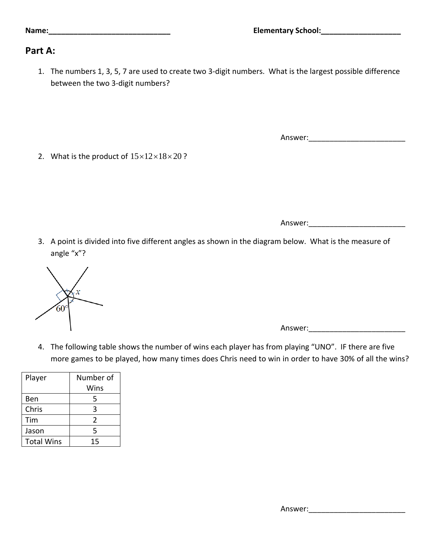## **Part A:**

1. The numbers 1, 3, 5, 7 are used to create two 3-digit numbers. What is the largest possible difference between the two 3-digit numbers?

Answer:\_\_\_\_\_\_\_\_\_\_\_\_\_\_\_\_\_\_\_\_\_\_\_

2. What is the product of  $15 \times 12 \times 18 \times 20$ ?

Answer:\_\_\_\_\_\_\_\_\_\_\_\_\_\_\_\_\_\_\_\_\_\_\_

3. A point is divided into five different angles as shown in the diagram below. What is the measure of angle "x"?



Answer:\_\_\_\_\_\_\_\_\_\_\_\_\_\_\_\_\_\_\_\_\_\_\_

4. The following table shows the number of wins each player has from playing "UNO". IF there are five more games to be played, how many times does Chris need to win in order to have 30% of all the wins?

| Player            | Number of |  |
|-------------------|-----------|--|
|                   | Wins      |  |
| Ben               | 5         |  |
| Chris             | 3         |  |
| Tim               | C         |  |
| Jason             | 5         |  |
| <b>Total Wins</b> | 15        |  |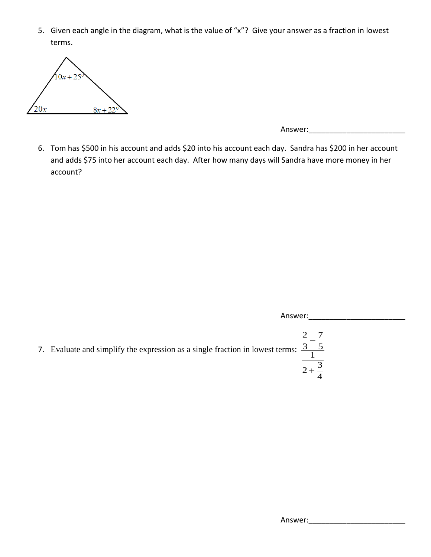5. Given each angle in the diagram, what is the value of "x"? Give your answer as a fraction in lowest terms.



Answer:

6. Tom has \$500 in his account and adds \$20 into his account each day. Sandra has \$200 in her account and adds \$75 into her account each day. After how many days will Sandra have more money in her account?

Answer: 7. Evaluate and simplify the expression as a single fraction in lowest terms: 2 7 3 5 1  $\overline{a}$ 

> $\frac{3}{2+\frac{3}{4}}$ 4

 $\overline{+}$ 

Answer: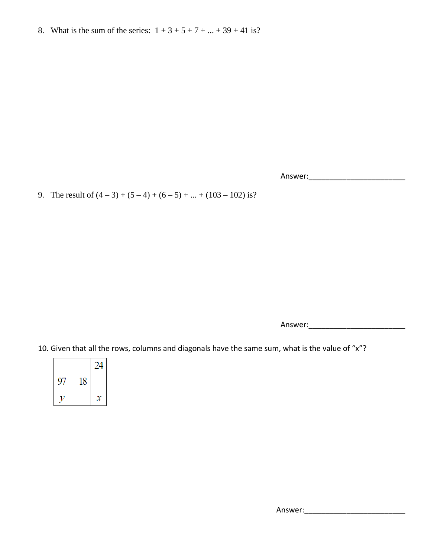8. What is the sum of the series:  $1 + 3 + 5 + 7 + ... + 39 + 41$  is?

Answer:\_\_\_\_\_\_\_\_\_\_\_\_\_\_\_\_\_\_\_\_\_\_\_

9. The result of  $(4-3) + (5-4) + (6-5) + ... + (103-102)$  is?

Answer:\_\_\_\_\_\_\_\_\_\_\_\_\_\_\_\_\_\_\_\_\_\_\_

10. Given that all the rows, columns and diagonals have the same sum, what is the value of "x"?

|   |    | 24 |  |
|---|----|----|--|
| 9 | 18 |    |  |
|   |    |    |  |

 $\overline{\phantom{a}}$ 

Answer:\_\_\_\_\_\_\_\_\_\_\_\_\_\_\_\_\_\_\_\_\_\_\_\_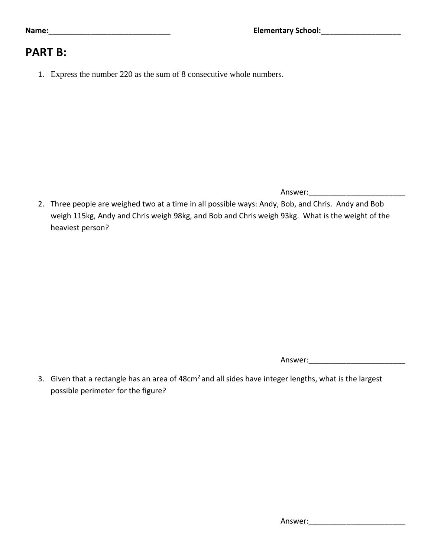# **PART B:**

1. Express the number 220 as the sum of 8 consecutive whole numbers.

Answer:\_\_\_\_\_\_\_\_\_\_\_\_\_\_\_\_\_\_\_\_\_\_\_

2. Three people are weighed two at a time in all possible ways: Andy, Bob, and Chris. Andy and Bob weigh 115kg, Andy and Chris weigh 98kg, and Bob and Chris weigh 93kg. What is the weight of the heaviest person?

Answer:\_\_\_\_\_\_\_\_\_\_\_\_\_\_\_\_\_\_\_\_\_\_\_

3. Given that a rectangle has an area of 48cm<sup>2</sup> and all sides have integer lengths, what is the largest possible perimeter for the figure?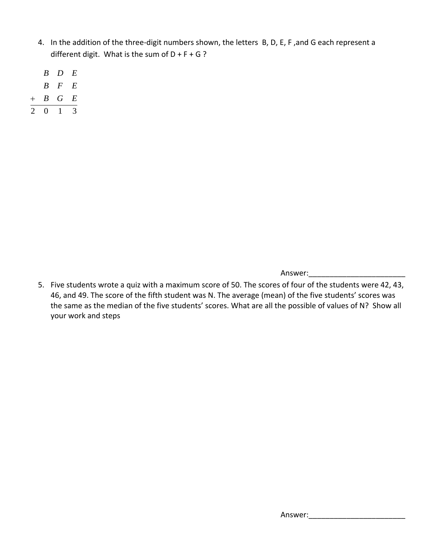- 4. In the addition of the three-digit numbers shown, the letters B, D, E, F ,and G each represent a different digit. What is the sum of  $D + F + G$ ?
- *B D E*
- *B F E*
- $\overline{2 \ 0 \ 1 \ 3}$ *B G E*

- Answer:\_\_\_\_\_\_\_\_\_\_\_\_\_\_\_\_\_\_\_\_\_\_\_
- 5. Five students wrote a quiz with a maximum score of 50. The scores of four of the students were 42, 43, 46, and 49. The score of the fifth student was N. The average (mean) of the five students' scores was the same as the median of the five students' scores. What are all the possible of values of N? Show all your work and steps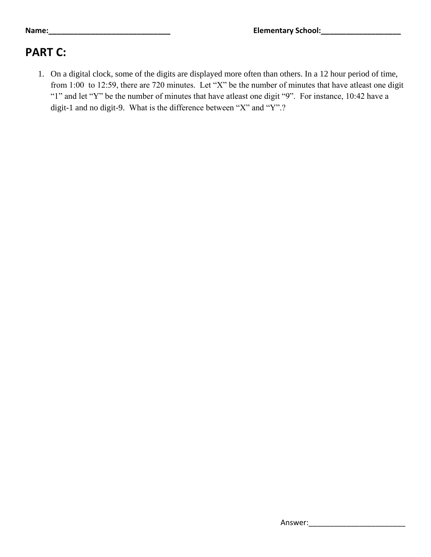# **PART C:**